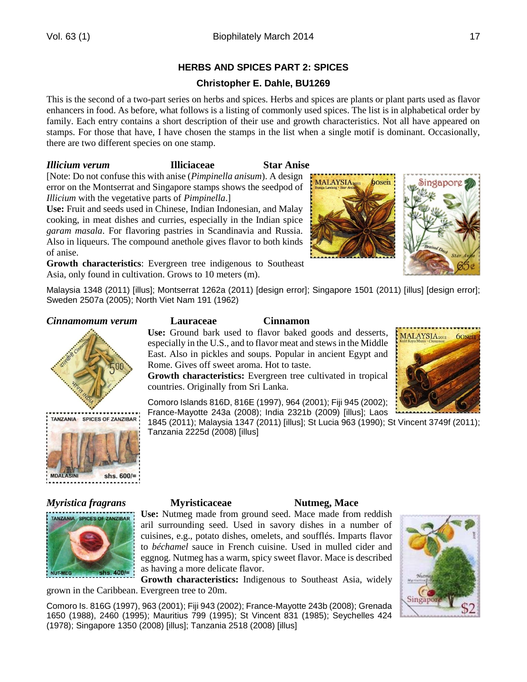# **HERBS AND SPICES PART 2: SPICES**

# **Christopher E. Dahle, BU1269**

This is the second of a two-part series on herbs and spices. Herbs and spices are plants or plant parts used as flavor enhancers in food. As before, what follows is a listing of commonly used spices. The list is in alphabetical order by family. Each entry contains a short description of their use and growth characteristics. Not all have appeared on stamps. For those that have, I have chosen the stamps in the list when a single motif is dominant. Occasionally, there are two different species on one stamp.

## *Illicium verum* **Illiciaceae Star Anise**

[Note: Do not confuse this with anise (*Pimpinella anisum*). A design error on the Montserrat and Singapore stamps shows the seedpod of *Illicium* with the vegetative parts of *Pimpinella*.]

**Use:** Fruit and seeds used in Chinese, Indian Indonesian, and Malay cooking, in meat dishes and curries, especially in the Indian spice *garam masala*. For flavoring pastries in Scandinavia and Russia. Also in liqueurs. The compound anethole gives flavor to both kinds of anise.

**Growth characteristics**: Evergreen tree indigenous to Southeast Asia, only found in cultivation. Grows to 10 meters (m).



## *Cinnamomum verum* **Lauraceae Cinnamon**



shs.  $600/=$ 

### **Use:** Ground bark used to flavor baked goods and desserts, especially in the U.S., and to flavor meat and stews in the Middle East. Also in pickles and soups. Popular in ancient Egypt and Rome. Gives off sweet aroma. Hot to taste.

**Growth characteristics:** Evergreen tree cultivated in tropical countries. Originally from Sri Lanka.



Comoro Islands 816D, 816E (1997), 964 (2001); Fiji 945 (2002); France-Mayotte 243a (2008); India 2321b (2009) [illus]; Laos

1845 (2011); Malaysia 1347 (2011) [illus]; St Lucia 963 (1990); St Vincent 3749f (2011); Tanzania 2225d (2008) [illus]

MALAYSIA20

bosen

# *Myristica fragrans* **Myristicaceae Nutmeg, Mace**



**Use:** Nutmeg made from ground seed. Mace made from reddish aril surrounding seed. Used in savory dishes in a number of cuisines, e.g., potato dishes, omelets, and soufflés. Imparts flavor to *béchamel* sauce in French cuisine. Used in mulled cider and eggnog. Nutmeg has a warm, spicy sweet flavor. Mace is described as having a more delicate flavor.

**Growth characteristics:** Indigenous to Southeast Asia, widely grown in the Caribbean. Evergreen tree to 20m.

Comoro Is. 816G (1997), 963 (2001); Fiji 943 (2002); France-Mayotte 243b (2008); Grenada 1650 (1988), 2460 (1995); Mauritius 799 (1995); St Vincent 831 (1985); Seychelles 424 (1978); Singapore 1350 (2008) [illus]; Tanzania 2518 (2008) [illus]

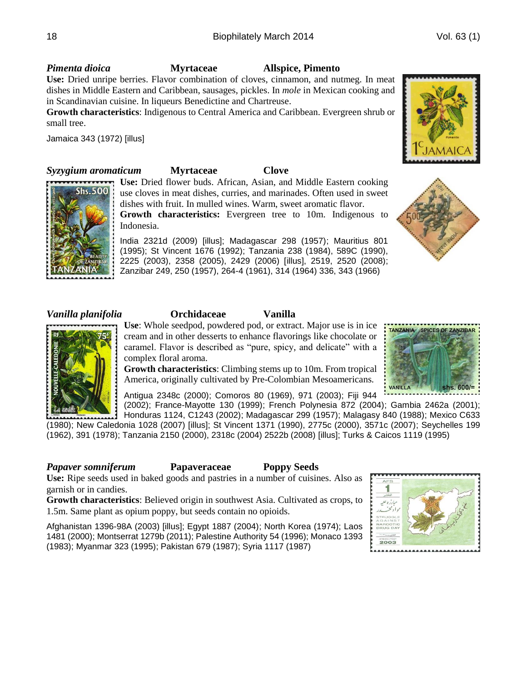## *Pimenta dioica* **Myrtaceae Allspice, Pimento**

**Use:** Dried unripe berries. Flavor combination of cloves, cinnamon, and nutmeg. In meat dishes in Middle Eastern and Caribbean, sausages, pickles. In *mole* in Mexican cooking and in Scandinavian cuisine. In liqueurs Benedictine and Chartreuse.

**Growth characteristics**: Indigenous to Central America and Caribbean. Evergreen shrub or small tree.

Jamaica 343 (1972) [illus]

# *Syzygium aromaticum* **Myrtaceae Clove**

**Shs.500** 

**Use:** Dried flower buds. African, Asian, and Middle Eastern cooking use cloves in meat dishes, curries, and marinades. Often used in sweet dishes with fruit. In mulled wines. Warm, sweet aromatic flavor. **Growth characteristics:** Evergreen tree to 10m. Indigenous to

Indonesia.

India 2321d (2009) [illus]; Madagascar 298 (1957); Mauritius 801 (1995); St Vincent 1676 (1992); Tanzania 238 (1984), 589C (1990), 2225 (2003), 2358 (2005), 2429 (2006) [illus], 2519, 2520 (2008); Zanzibar 249, 250 (1957), 264-4 (1961), 314 (1964) 336, 343 (1966)



## *Vanilla planifolia* **Orchidaceae Vanilla**

**Use**: Whole seedpod, powdered pod, or extract. Major use is in ice cream and in other desserts to enhance flavorings like chocolate or caramel. Flavor is described as "pure, spicy, and delicate" with a complex floral aroma.

**Growth characteristics**: Climbing stems up to 10m. From tropical America, originally cultivated by Pre-Colombian Mesoamericans.

Antigua 2348c (2000); Comoros 80 (1969), 971 (2003); Fiji 944

(2002); France-Mayotte 130 (1999); French Polynesia 872 (2004); Gambia 2462a (2001); Honduras 1124, C1243 (2002); Madagascar 299 (1957); Malagasy 840 (1988); Mexico C633 (1980); New Caledonia 1028 (2007) [illus]; St Vincent 1371 (1990), 2775c (2000), 3571c (2007); Seychelles 199 (1962), 391 (1978); Tanzania 2150 (2000), 2318c (2004) 2522b (2008) [illus]; Turks & Caicos 1119 (1995)

# *Papaver somniferum* **Papaveraceae Poppy Seeds**

**Use:** Ripe seeds used in baked goods and pastries in a number of cuisines. Also as garnish or in candies.

**Growth characteristics**: Believed origin in southwest Asia. Cultivated as crops, to 1.5m. Same plant as opium poppy, but seeds contain no opioids.

Afghanistan 1396-98A (2003) [illus]; Egypt 1887 (2004); North Korea (1974); Laos 1481 (2000); Montserrat 1279b (2011); Palestine Authority 54 (1996); Monaco 1393 (1983); Myanmar 323 (1995); Pakistan 679 (1987); Syria 1117 (1987)







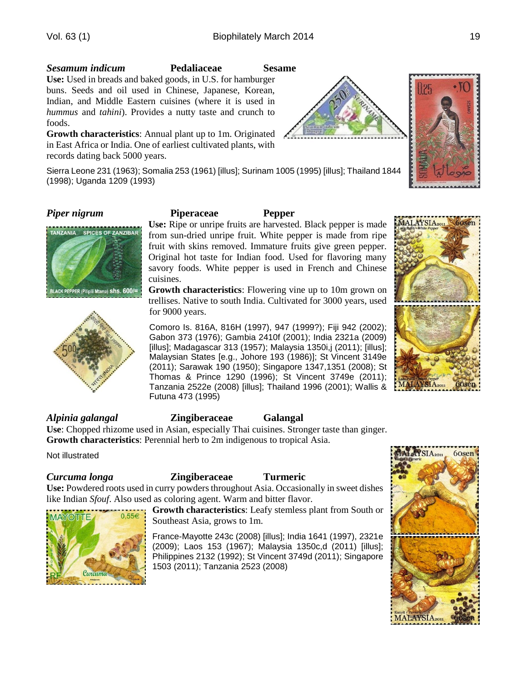## *Sesamum indicum* **Pedaliaceae Sesame**

**Use:** Used in breads and baked goods, in U.S. for hamburger buns. Seeds and oil used in Chinese, Japanese, Korean, Indian, and Middle Eastern cuisines (where it is used in *hummus* and *tahini*). Provides a nutty taste and crunch to foods.

**Growth characteristics**: Annual plant up to 1m. Originated in East Africa or India. One of earliest cultivated plants, with records dating back 5000 years.

Sierra Leone 231 (1963); Somalia 253 (1961) [illus]; Surinam 1005 (1995) [illus]; Thailand 1844 (1998); Uganda 1209 (1993)





### *Piper nigrum* **Piperaceae Pepper**

**Use:** Ripe or unripe fruits are harvested. Black pepper is made from sun-dried unripe fruit. White pepper is made from ripe fruit with skins removed. Immature fruits give green pepper. Original hot taste for Indian food. Used for flavoring many savory foods. White pepper is used in French and Chinese cuisines.

**Growth characteristics**: Flowering vine up to 10m grown on trellises. Native to south India. Cultivated for 3000 years, used for 9000 years.

Comoro Is. 816A, 816H (1997), 947 (1999?); Fiji 942 (2002); Gabon 373 (1976); Gambia 2410f (2001); India 2321a (2009) [illus]; Madagascar 313 (1957); Malaysia 1350i,j (2011); [illus]; Malaysian States [e.g., Johore 193 (1986)]; St Vincent 3149e (2011); Sarawak 190 (1950); Singapore 1347,1351 (2008); St Thomas & Prince 1290 (1996); St Vincent 3749e (2011); Tanzania 2522e (2008) [illus]; Thailand 1996 (2001); Wallis & Futuna 473 (1995)

### *Alpinia galangal* **Zingiberaceae Galangal Use**: Chopped rhizome used in Asian, especially Thai cuisines. Stronger taste than ginger. **Growth characteristics**: Perennial herb to 2m indigenous to tropical Asia.

Not illustrated

**MAYOTTE** 

 $\rho$ <sub>U</sub>neur

 $0.556$ 

## *Curcuma longa* **Zingiberaceae Turmeric**

**Use:** Powdered roots used in curry powders throughout Asia. Occasionally in sweet dishes like Indian *Sfouf*. Also used as coloring agent. Warm and bitter flavor.

> **Growth characteristics**: Leafy stemless plant from South or Southeast Asia, grows to 1m.

> France-Mayotte 243c (2008) [illus]; India 1641 (1997), 2321e (2009); Laos 153 (1967); Malaysia 1350c,d (2011) [illus]; Philippines 2132 (1992); St Vincent 3749d (2011); Singapore 1503 (2011); Tanzania 2523 (2008)



MALAYSIA2011